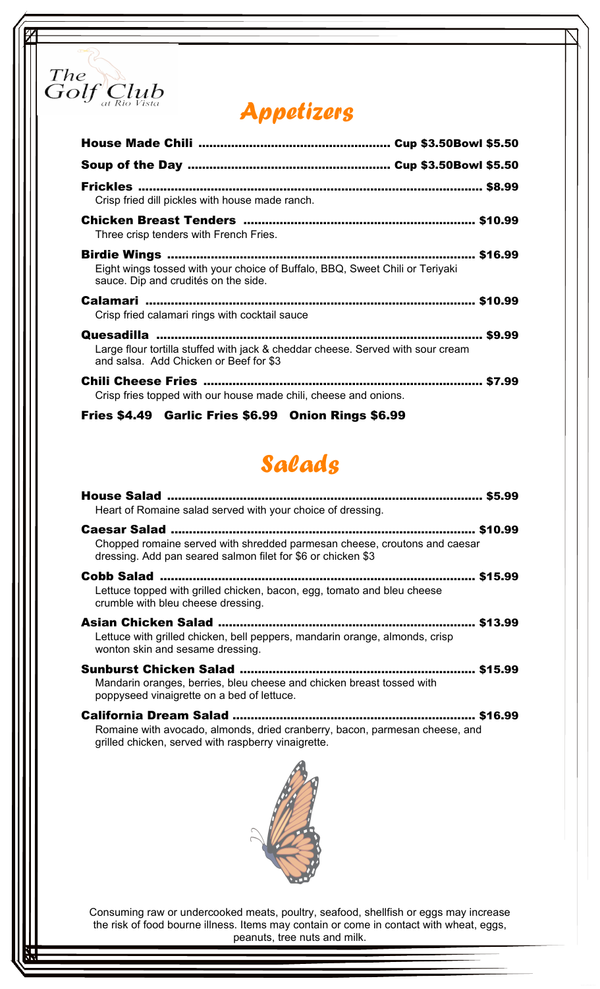

## Appetizers

| Frickles ………………………………………………………………………………… \$8.99<br>Crisp fried dill pickles with house made ranch.                                                                        |
|---------------------------------------------------------------------------------------------------------------------------------------------------------------------------|
| Three crisp tenders with French Fries.                                                                                                                                    |
| Birdie Wings ………………………………………………………………………… \$16.99<br>Eight wings tossed with your choice of Buffalo, BBQ, Sweet Chili or Teriyaki<br>sauce. Dip and crudités on the side. |
| Crisp fried calamari rings with cocktail sauce                                                                                                                            |
| Large flour tortilla stuffed with jack & cheddar cheese. Served with sour cream<br>and salsa. Add Chicken or Beef for \$3                                                 |
| \$7.99<br>Crisp fries topped with our house made chili, cheese and onions.                                                                                                |

Fries \$4.49 Garlic Fries \$6.99 Onion Rings \$6.99

## Salads

| Heart of Romaine salad served with your choice of dressing.                                                                               |
|-------------------------------------------------------------------------------------------------------------------------------------------|
| Chopped romaine served with shredded parmesan cheese, croutons and caesar<br>dressing. Add pan seared salmon filet for \$6 or chicken \$3 |
| \$15.99<br>Lettuce topped with grilled chicken, bacon, egg, tomato and bleu cheese<br>crumble with bleu cheese dressing.                  |
| Lettuce with grilled chicken, bell peppers, mandarin orange, almonds, crisp<br>wonton skin and sesame dressing.                           |
| Mandarin oranges, berries, bleu cheese and chicken breast tossed with<br>poppyseed vinaigrette on a bed of lettuce.                       |
| Romaine with avocado, almonds, dried cranberry, bacon, parmesan cheese, and<br>grilled chicken, served with raspberry vinaigrette.        |
|                                                                                                                                           |

Consuming raw or undercooked meats, poultry, seafood, shellfish or eggs may increase the risk of food bourne illness. Items may contain or come in contact with wheat, eggs, peanuts, tree nuts and milk.